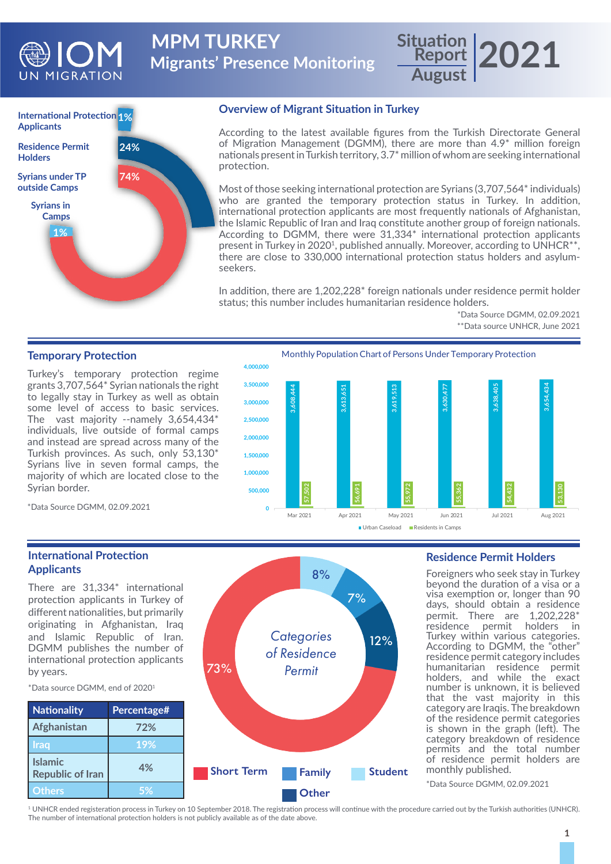

**Migrants' Presence Monitoring MPM TURKEY** 

# **Report 2021 August**



## **Overview of Migrant Situation in Turkey**

According to the latest available figures from the Turkish Directorate General of Migration Management (DGMM), there are more than 4.9\* million foreign nationals present in Turkish territory, 3.7\* million of whom are seeking international protection.

Most of those seeking international protection are Syrians (3,707,564\* individuals) who are granted the temporary protection status in Turkey. In addition, international protection applicants are most frequently nationals of Afghanistan, the Islamic Republic of Iran and Iraq constitute another group of foreign nationals. According to DGMM, there were 31,334\* international protection applicants present in Turkey in 2020<sup>1</sup>, published annually. Moreover, according to UNHCR<sup>\*\*</sup>, there are close to 330,000 international protection status holders and asylumseekers.

In addition, there are 1,202,228\* foreign nationals under residence permit holder status; this number includes humanitarian residence holders.

> \*Data Source DGMM, 02.09.2021 \*\*Data source UNHCR, June 2021

# **Temporary Protection**

Turkey's temporary protection regime grants 3,707,564\* Syrian nationals the right to legally stay in Turkey as well as obtain some level of access to basic services. The vast majority --namely 3,654,434\* individuals, live outside of formal camps and instead are spread across many of the Turkish provinces. As such, only 53,130\* Syrians live in seven formal camps, the majority of which are located close to the Syrian border.

**4,000,000 3,500,000 3,630,477 3,638,405 3,654,434 3,608,444 3,613,651 3,619,513** 3.619.513

Monthly Population Chart of Persons Under Temporary Protection



\*Data Source DGMM, 02.09.2021

# **International Protection Applicants**

There are 31,334\* international protection applicants in Turkey of different nationalities, but primarily originating in Afghanistan, Iraq and Islamic Republic of Iran. DGMM publishes the number of international protection applicants by years.



73%

#### **Residence Permit Holders**

Foreigners who seek stay in Turkey beyond the duration of a visa or a visa exemption or, longer than 90 days, should obtain a residence permit. There are 1,202,228\* residence permit holders in Turkey within various categories. According to DGMM, the "other" residence permit category includes humanitarian residence permit holders, and while the exact number is unknown, it is believed that the vast majority in this category are Iraqis. The breakdown of the residence permit categories is shown in the graph (left). The category breakdown of residence permits and the total number of residence permit holders are monthly published.

\*Data Source DGMM, 02.09.2021

1 UNHCR ended registeration process in Turkey on 10 September 2018. The registration process will continue with the procedure carried out by the Turkish authorities (UNHCR). The number of international protection holders is not publicly available as of the date above.

*Categories of Residence Permit*

8%

7%

12%